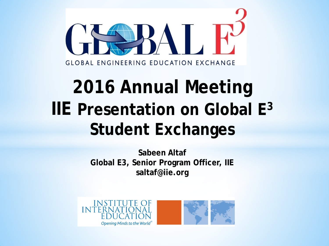

# **2016 Annual Meeting IIE Presentation on Global E3 Student Exchanges**

**Sabeen Altaf Global E3, Senior Program Officer, IIE saltaf@iie.org**



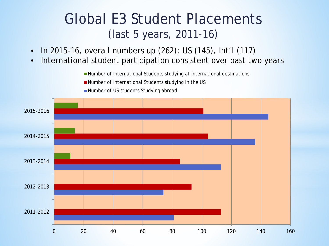#### Global E3 Student Placements (last 5 years, 2011-16)

- In 2015-16, overall numbers up (262); US (145), Int'l (117)
- International student participation consistent over past two years

■ Number of International Students studying at international destinations

■ Number of International Students studying in the US



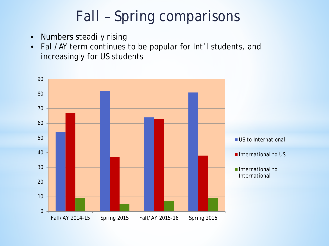# Fall – Spring comparisons

- Numbers steadily rising
- Fall/AY term continues to be popular for Int'l students, and increasingly for US students

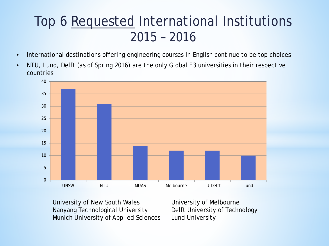#### Top 6 Requested International Institutions 2015 – 2016

- International destinations offering engineering courses in English continue to be top choices
- NTU, Lund, Delft (as of Spring 2016) are the only Global E3 universities in their respective countries



University of New South Wales Nanyang Technological University Munich University of Applied Sciences University of Melbourne Delft University of Technology Lund University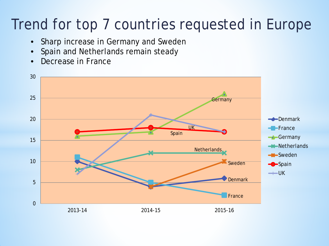## Trend for top 7 countries requested in Europe

- Sharp increase in Germany and Sweden
- Spain and Netherlands remain steady
- Decrease in France

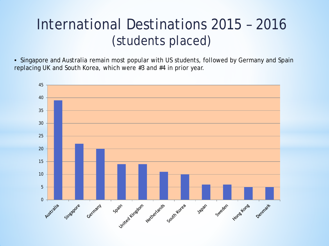### International Destinations 2015 – 2016 (students placed)

• Singapore and Australia remain most popular with US students, followed by Germany and Spain replacing UK and South Korea, which were #3 and #4 in prior year.

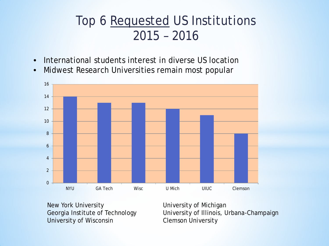#### Top 6 Requested US Institutions 2015 – 2016

- International students interest in diverse US location
- Midwest Research Universities remain most popular



New York University Georgia Institute of Technology University of Wisconsin

University of Michigan University of Illinois, Urbana-Champaign Clemson University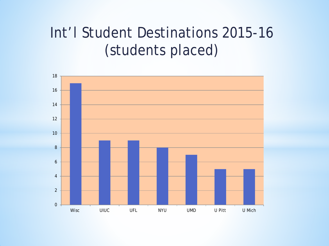### Int'l Student Destinations 2015-16 (students placed)

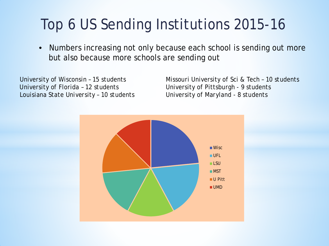# Top 6 US Sending Institutions 2015-16

• Numbers increasing not only because each school is sending out more but also because more schools are sending out

*University of Wisconsin – 15 students University of Florida – 12 students Louisiana State University – 10 students* *Missouri University of Sci & Tech – 10 students University of Pittsburgh - 9 students University of Maryland - 8 students*

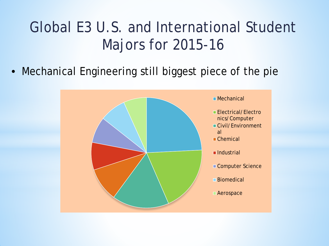# Global E3 U.S. and International Student Majors for 2015-16

• Mechanical Engineering still biggest piece of the pie